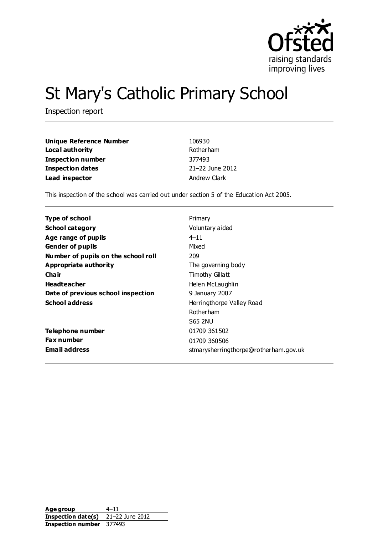

# St Mary's Catholic Primary School

Inspection report

| Unique Reference Number  | 106930          |
|--------------------------|-----------------|
| Local authority          | Rotherham       |
| <b>Inspection number</b> | 377493          |
| Inspection dates         | 21-22 June 2012 |
| Lead inspector           | Andrew Clark    |

This inspection of the school was carried out under section 5 of the Education Act 2005.

| <b>Type of school</b>               | Primary                               |
|-------------------------------------|---------------------------------------|
| <b>School category</b>              | Voluntary aided                       |
| Age range of pupils                 | $4 - 11$                              |
| <b>Gender of pupils</b>             | Mixed                                 |
| Number of pupils on the school roll | 209                                   |
| Appropriate authority               | The governing body                    |
| Cha ir                              | Timothy Gillatt                       |
| <b>Headteacher</b>                  | Helen McLaughlin                      |
| Date of previous school inspection  | 9 January 2007                        |
| <b>School address</b>               | Herringthorpe Valley Road             |
|                                     | <b>Rotherham</b>                      |
|                                     | <b>S65 2NU</b>                        |
| Telephone number                    | 01709 361502                          |
| <b>Fax number</b>                   | 01709 360506                          |
| <b>Email address</b>                | stmarysherringthorpe@rotherham.gov.uk |

Age group 4–11 **Inspection date(s)** 21–22 June 2012 **Inspection number** 377493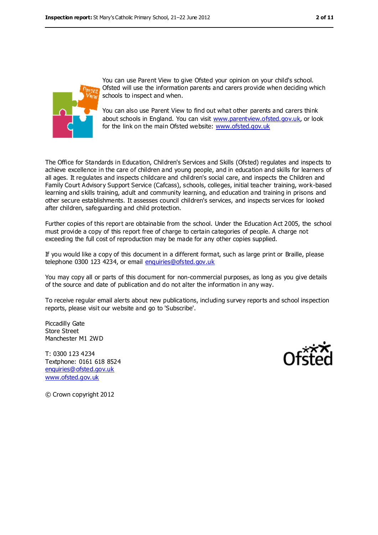

You can use Parent View to give Ofsted your opinion on your child's school. Ofsted will use the information parents and carers provide when deciding which schools to inspect and when.

You can also use Parent View to find out what other parents and carers think about schools in England. You can visit [www.parentview.ofsted.gov.uk,](../../../AppData/AppData/Local/Microsoft/AppData/AppData/Local/Microsoft/AppData/Local/Microsoft/Windows/Temporary%20Internet%20Files/Content.IE5/FT5JWMNJ/www.parentview.ofsted.gov.uk) or look for the link on the main Ofsted website: [www.ofsted.gov.uk](../../../AppData/AppData/Local/Microsoft/AppData/AppData/Local/Microsoft/AppData/Local/Microsoft/Windows/Temporary%20Internet%20Files/Content.IE5/FT5JWMNJ/www.ofsted.gov.uk)

The Office for Standards in Education, Children's Services and Skills (Ofsted) regulates and inspects to achieve excellence in the care of children and young people, and in education and skills for learners of all ages. It regulates and inspects childcare and children's social care, and inspects the Children and Family Court Advisory Support Service (Cafcass), schools, colleges, initial teacher training, work-based learning and skills training, adult and community learning, and education and training in prisons and other secure establishments. It assesses council children's services, and inspects services for looked after children, safeguarding and child protection.

Further copies of this report are obtainable from the school. Under the Education Act 2005, the school must provide a copy of this report free of charge to certain categories of people. A charge not exceeding the full cost of reproduction may be made for any other copies supplied.

If you would like a copy of this document in a different format, such as large print or Braille, please telephone 0300 123 4234, or email [enquiries@ofsted.gov.uk](mailto:enquiries@ofsted.gov.uk)

You may copy all or parts of this document for non-commercial purposes, as long as you give details of the source and date of publication and do not alter the information in any way.

To receive regular email alerts about new publications, including survey reports and school inspection reports, please visit our website and go to 'Subscribe'.

Piccadilly Gate Store Street Manchester M1 2WD

T: 0300 123 4234 Textphone: 0161 618 8524 [enquiries@ofsted.gov.uk](mailto:enquiries@ofsted.gov.uk) [www.ofsted.gov.uk](http://www.ofsted.gov.uk/)



© Crown copyright 2012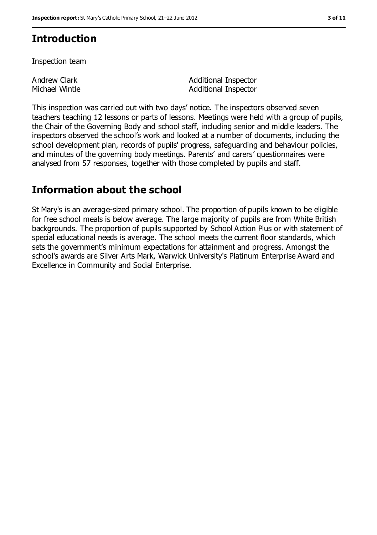### **Introduction**

Inspection team

Andrew Clark Michael Wintle Additional Inspector Additional Inspector

This inspection was carried out with two days' notice. The inspectors observed seven teachers teaching 12 lessons or parts of lessons. Meetings were held with a group of pupils, the Chair of the Governing Body and school staff, including senior and middle leaders. The inspectors observed the school's work and looked at a number of documents, including the school development plan, records of pupils' progress, safeguarding and behaviour policies, and minutes of the governing body meetings. Parents' and carers' questionnaires were analysed from 57 responses, together with those completed by pupils and staff.

### **Information about the school**

St Mary's is an average-sized primary school. The proportion of pupils known to be eligible for free school meals is below average. The large majority of pupils are from White British backgrounds. The proportion of pupils supported by School Action Plus or with statement of special educational needs is average. The school meets the current floor standards, which sets the government's minimum expectations for attainment and progress. Amongst the school's awards are Silver Arts Mark, Warwick University's Platinum Enterprise Award and Excellence in Community and Social Enterprise.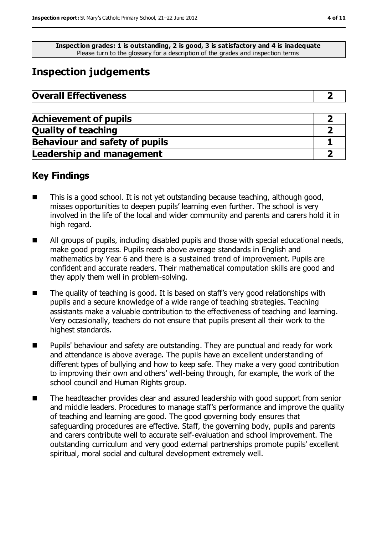**Inspection grades: 1 is outstanding, 2 is good, 3 is satisfactory and 4 is inadequate** Please turn to the glossary for a description of the grades and inspection terms

### **Inspection judgements**

| <b>Overall Effectiveness</b> |  |
|------------------------------|--|
|------------------------------|--|

| <b>Achievement of pupils</b>          |  |
|---------------------------------------|--|
| <b>Quality of teaching</b>            |  |
| <b>Behaviour and safety of pupils</b> |  |
| <b>Leadership and management</b>      |  |

### **Key Findings**

- This is a good school. It is not yet outstanding because teaching, although good, misses opportunities to deepen pupils' learning even further. The school is very involved in the life of the local and wider community and parents and carers hold it in high regard.
- All groups of pupils, including disabled pupils and those with special educational needs, make good progress. Pupils reach above average standards in English and mathematics by Year 6 and there is a sustained trend of improvement. Pupils are confident and accurate readers. Their mathematical computation skills are good and they apply them well in problem-solving.
- The quality of teaching is good. It is based on staff's very good relationships with pupils and a secure knowledge of a wide range of teaching strategies. Teaching assistants make a valuable contribution to the effectiveness of teaching and learning. Very occasionally, teachers do not ensure that pupils present all their work to the highest standards.
- Pupils' behaviour and safety are outstanding. They are punctual and ready for work and attendance is above average. The pupils have an excellent understanding of different types of bullying and how to keep safe. They make a very good contribution to improving their own and others' well-being through, for example, the work of the school council and Human Rights group.
- The headteacher provides clear and assured leadership with good support from senior and middle leaders. Procedures to manage staff's performance and improve the quality of teaching and learning are good. The good governing body ensures that safeguarding procedures are effective. Staff, the governing body, pupils and parents and carers contribute well to accurate self-evaluation and school improvement. The outstanding curriculum and very good external partnerships promote pupils' excellent spiritual, moral social and cultural development extremely well.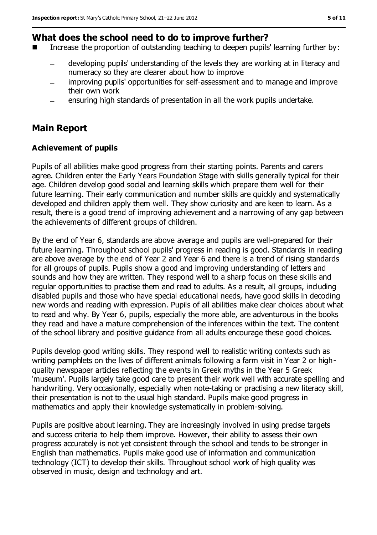### **What does the school need to do to improve further?**

- Increase the proportion of outstanding teaching to deepen pupils' learning further by:
	- developing pupils' understanding of the levels they are working at in literacy and numeracy so they are clearer about how to improve
	- improving pupils' opportunities for self-assessment and to manage and improve  $\overline{\phantom{0}}$ their own work
	- ensuring high standards of presentation in all the work pupils undertake.

### **Main Report**

#### **Achievement of pupils**

Pupils of all abilities make good progress from their starting points. Parents and carers agree. Children enter the Early Years Foundation Stage with skills generally typical for their age. Children develop good social and learning skills which prepare them well for their future learning. Their early communication and number skills are quickly and systematically developed and children apply them well. They show curiosity and are keen to learn. As a result, there is a good trend of improving achievement and a narrowing of any gap between the achievements of different groups of children.

By the end of Year 6, standards are above average and pupils are well-prepared for their future learning. Throughout school pupils' progress in reading is good. Standards in reading are above average by the end of Year 2 and Year 6 and there is a trend of rising standards for all groups of pupils. Pupils show a good and improving understanding of letters and sounds and how they are written. They respond well to a sharp focus on these skills and regular opportunities to practise them and read to adults. As a result, all groups, including disabled pupils and those who have special educational needs, have good skills in decoding new words and reading with expression. Pupils of all abilities make clear choices about what to read and why. By Year 6, pupils, especially the more able, are adventurous in the books they read and have a mature comprehension of the inferences within the text. The content of the school library and positive guidance from all adults encourage these good choices.

Pupils develop good writing skills. They respond well to realistic writing contexts such as writing pamphlets on the lives of different animals following a farm visit in Year 2 or highquality newspaper articles reflecting the events in Greek myths in the Year 5 Greek 'museum'. Pupils largely take good care to present their work well with accurate spelling and handwriting. Very occasionally, especially when note-taking or practising a new literacy skill, their presentation is not to the usual high standard. Pupils make good progress in mathematics and apply their knowledge systematically in problem-solving.

Pupils are positive about learning. They are increasingly involved in using precise targets and success criteria to help them improve. However, their ability to assess their own progress accurately is not yet consistent through the school and tends to be stronger in English than mathematics. Pupils make good use of information and communication technology (ICT) to develop their skills. Throughout school work of high quality was observed in music, design and technology and art.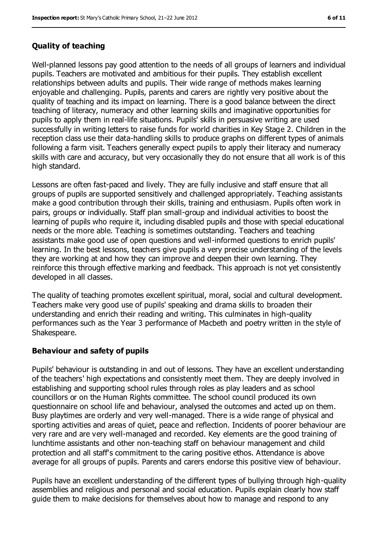#### **Quality of teaching**

Well-planned lessons pay good attention to the needs of all groups of learners and individual pupils. Teachers are motivated and ambitious for their pupils. They establish excellent relationships between adults and pupils. Their wide range of methods makes learning enjoyable and challenging. Pupils, parents and carers are rightly very positive about the quality of teaching and its impact on learning. There is a good balance between the direct teaching of literacy, numeracy and other learning skills and imaginative opportunities for pupils to apply them in real-life situations. Pupils' skills in persuasive writing are used successfully in writing letters to raise funds for world charities in Key Stage 2. Children in the reception class use their data-handling skills to produce graphs on different types of animals following a farm visit. Teachers generally expect pupils to apply their literacy and numeracy skills with care and accuracy, but very occasionally they do not ensure that all work is of this high standard.

Lessons are often fast-paced and lively. They are fully inclusive and staff ensure that all groups of pupils are supported sensitively and challenged appropriately. Teaching assistants make a good contribution through their skills, training and enthusiasm. Pupils often work in pairs, groups or individually. Staff plan small-group and individual activities to boost the learning of pupils who require it, including disabled pupils and those with special educational needs or the more able. Teaching is sometimes outstanding. Teachers and teaching assistants make good use of open questions and well-informed questions to enrich pupils' learning. In the best lessons, teachers give pupils a very precise understanding of the levels they are working at and how they can improve and deepen their own learning. They reinforce this through effective marking and feedback. This approach is not yet consistently developed in all classes.

The quality of teaching promotes excellent spiritual, moral, social and cultural development. Teachers make very good use of pupils' speaking and drama skills to broaden their understanding and enrich their reading and writing. This culminates in high-quality performances such as the Year 3 performance of Macbeth and poetry written in the style of Shakespeare.

#### **Behaviour and safety of pupils**

Pupils' behaviour is outstanding in and out of lessons. They have an excellent understanding of the teachers' high expectations and consistently meet them. They are deeply involved in establishing and supporting school rules through roles as play leaders and as school councillors or on the Human Rights committee. The school council produced its own questionnaire on school life and behaviour, analysed the outcomes and acted up on them. Busy playtimes are orderly and very well-managed. There is a wide range of physical and sporting activities and areas of quiet, peace and reflection. Incidents of poorer behaviour are very rare and are very well-managed and recorded. Key elements are the good training of lunchtime assistants and other non-teaching staff on behaviour management and child protection and all staff's commitment to the caring positive ethos. Attendance is above average for all groups of pupils. Parents and carers endorse this positive view of behaviour.

Pupils have an excellent understanding of the different types of bullying through high-quality assemblies and religious and personal and social education. Pupils explain clearly how staff guide them to make decisions for themselves about how to manage and respond to any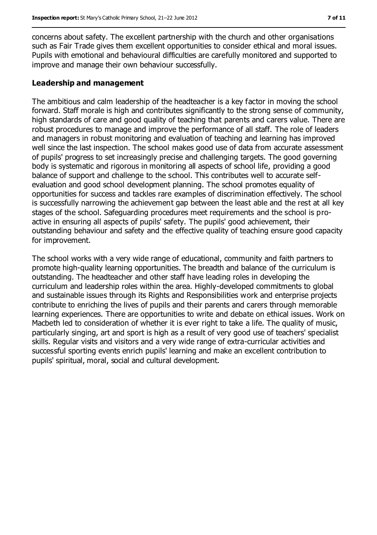concerns about safety. The excellent partnership with the church and other organisations such as Fair Trade gives them excellent opportunities to consider ethical and moral issues. Pupils with emotional and behavioural difficulties are carefully monitored and supported to improve and manage their own behaviour successfully.

#### **Leadership and management**

The ambitious and calm leadership of the headteacher is a key factor in moving the school forward. Staff morale is high and contributes significantly to the strong sense of community, high standards of care and good quality of teaching that parents and carers value. There are robust procedures to manage and improve the performance of all staff. The role of leaders and managers in robust monitoring and evaluation of teaching and learning has improved well since the last inspection. The school makes good use of data from accurate assessment of pupils' progress to set increasingly precise and challenging targets. The good governing body is systematic and rigorous in monitoring all aspects of school life, providing a good balance of support and challenge to the school. This contributes well to accurate selfevaluation and good school development planning. The school promotes equality of opportunities for success and tackles rare examples of discrimination effectively. The school is successfully narrowing the achievement gap between the least able and the rest at all key stages of the school. Safeguarding procedures meet requirements and the school is proactive in ensuring all aspects of pupils' safety. The pupils' good achievement, their outstanding behaviour and safety and the effective quality of teaching ensure good capacity for improvement.

The school works with a very wide range of educational, community and faith partners to promote high-quality learning opportunities. The breadth and balance of the curriculum is outstanding. The headteacher and other staff have leading roles in developing the curriculum and leadership roles within the area. Highly-developed commitments to global and sustainable issues through its Rights and Responsibilities work and enterprise projects contribute to enriching the lives of pupils and their parents and carers through memorable learning experiences. There are opportunities to write and debate on ethical issues. Work on Macbeth led to consideration of whether it is ever right to take a life. The quality of music, particularly singing, art and sport is high as a result of very good use of teachers' specialist skills. Regular visits and visitors and a very wide range of extra-curricular activities and successful sporting events enrich pupils' learning and make an excellent contribution to pupils' spiritual, moral, social and cultural development.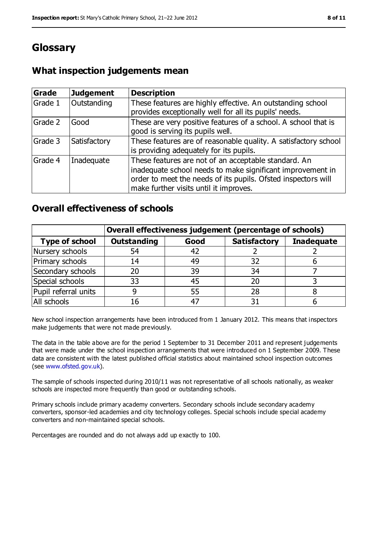### **Glossary**

### **What inspection judgements mean**

| Grade   | <b>Judgement</b> | <b>Description</b>                                                                                                                                                                                                            |
|---------|------------------|-------------------------------------------------------------------------------------------------------------------------------------------------------------------------------------------------------------------------------|
| Grade 1 | Outstanding      | These features are highly effective. An outstanding school<br>provides exceptionally well for all its pupils' needs.                                                                                                          |
| Grade 2 | Good             | These are very positive features of a school. A school that is<br>good is serving its pupils well.                                                                                                                            |
| Grade 3 | Satisfactory     | These features are of reasonable quality. A satisfactory school<br>is providing adequately for its pupils.                                                                                                                    |
| Grade 4 | Inadequate       | These features are not of an acceptable standard. An<br>inadequate school needs to make significant improvement in<br>order to meet the needs of its pupils. Ofsted inspectors will<br>make further visits until it improves. |

### **Overall effectiveness of schools**

|                       | Overall effectiveness judgement (percentage of schools) |      |                     |                   |
|-----------------------|---------------------------------------------------------|------|---------------------|-------------------|
| <b>Type of school</b> | <b>Outstanding</b>                                      | Good | <b>Satisfactory</b> | <b>Inadequate</b> |
| Nursery schools       | 54                                                      | 42   |                     |                   |
| Primary schools       | 14                                                      | 49   | 32                  |                   |
| Secondary schools     | 20                                                      | 39   | 34                  |                   |
| Special schools       | 33                                                      | 45   | 20                  |                   |
| Pupil referral units  |                                                         | 55   | 28                  |                   |
| All schools           | 16                                                      | $-4$ |                     |                   |

New school inspection arrangements have been introduced from 1 January 2012. This means that inspectors make judgements that were not made previously.

The data in the table above are for the period 1 September to 31 December 2011 and represent judgements that were made under the school inspection arrangements that were introduced on 1 September 2009. These data are consistent with the latest published official statistics about maintained school inspection outcomes (see [www.ofsted.gov.uk\)](../../../AppData/AppData/Local/Microsoft/AppData/AppData/Local/Microsoft/AppData/Local/Microsoft/Windows/Temporary%20Internet%20Files/Content.IE5/FT5JWMNJ/www.ofsted.gov.uk).

The sample of schools inspected during 2010/11 was not representative of all schools nationally, as weaker schools are inspected more frequently than good or outstanding schools.

Primary schools include primary academy converters. Secondary schools include secondary academy converters, sponsor-led academies and city technology colleges. Special schools include special academy converters and non-maintained special schools.

Percentages are rounded and do not always add up exactly to 100.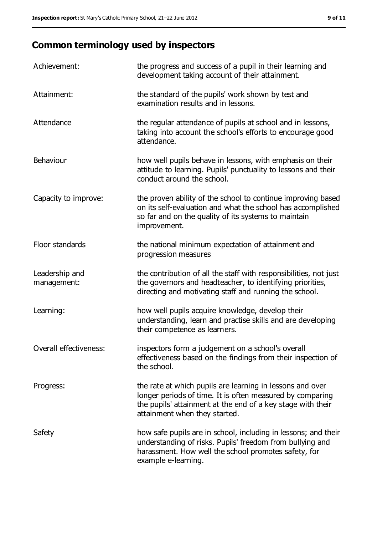## **Common terminology used by inspectors**

| Achievement:                  | the progress and success of a pupil in their learning and<br>development taking account of their attainment.                                                                                                           |
|-------------------------------|------------------------------------------------------------------------------------------------------------------------------------------------------------------------------------------------------------------------|
| Attainment:                   | the standard of the pupils' work shown by test and<br>examination results and in lessons.                                                                                                                              |
| Attendance                    | the regular attendance of pupils at school and in lessons,<br>taking into account the school's efforts to encourage good<br>attendance.                                                                                |
| Behaviour                     | how well pupils behave in lessons, with emphasis on their<br>attitude to learning. Pupils' punctuality to lessons and their<br>conduct around the school.                                                              |
| Capacity to improve:          | the proven ability of the school to continue improving based<br>on its self-evaluation and what the school has accomplished<br>so far and on the quality of its systems to maintain<br>improvement.                    |
| Floor standards               | the national minimum expectation of attainment and<br>progression measures                                                                                                                                             |
| Leadership and<br>management: | the contribution of all the staff with responsibilities, not just<br>the governors and headteacher, to identifying priorities,<br>directing and motivating staff and running the school.                               |
| Learning:                     | how well pupils acquire knowledge, develop their<br>understanding, learn and practise skills and are developing<br>their competence as learners.                                                                       |
| Overall effectiveness:        | inspectors form a judgement on a school's overall<br>effectiveness based on the findings from their inspection of<br>the school.                                                                                       |
| Progress:                     | the rate at which pupils are learning in lessons and over<br>longer periods of time. It is often measured by comparing<br>the pupils' attainment at the end of a key stage with their<br>attainment when they started. |
| Safety                        | how safe pupils are in school, including in lessons; and their<br>understanding of risks. Pupils' freedom from bullying and<br>harassment. How well the school promotes safety, for<br>example e-learning.             |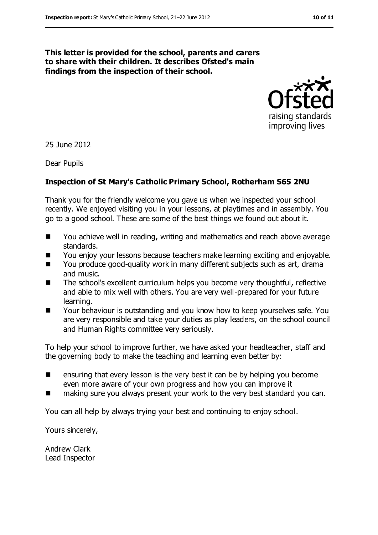#### **This letter is provided for the school, parents and carers to share with their children. It describes Ofsted's main findings from the inspection of their school.**



25 June 2012

Dear Pupils

#### **Inspection of St Mary's Catholic Primary School, Rotherham S65 2NU**

Thank you for the friendly welcome you gave us when we inspected your school recently. We enjoyed visiting you in your lessons, at playtimes and in assembly. You go to a good school. These are some of the best things we found out about it.

- You achieve well in reading, writing and mathematics and reach above average standards.
- You enjoy your lessons because teachers make learning exciting and enjoyable.
- You produce good-quality work in many different subjects such as art, drama and music.
- The school's excellent curriculum helps you become very thoughtful, reflective and able to mix well with others. You are very well-prepared for your future learning.
- Your behaviour is outstanding and you know how to keep yourselves safe. You are very responsible and take your duties as play leaders, on the school council and Human Rights committee very seriously.

To help your school to improve further, we have asked your headteacher, staff and the governing body to make the teaching and learning even better by:

- $\blacksquare$  ensuring that every lesson is the very best it can be by helping you become even more aware of your own progress and how you can improve it
- making sure you always present your work to the very best standard you can.

You can all help by always trying your best and continuing to enjoy school.

Yours sincerely,

Andrew Clark Lead Inspector